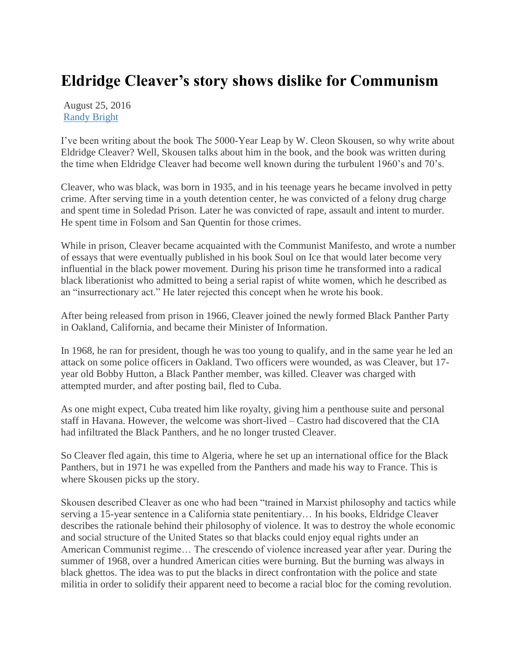## **Eldridge Cleaver's story shows dislike for Communism**

August 25, 2016 [Randy Bright](http://tulsabeacon.com/author/randy-bright/)

I"ve been writing about the book The 5000-Year Leap by W. Cleon Skousen, so why write about Eldridge Cleaver? Well, Skousen talks about him in the book, and the book was written during the time when Eldridge Cleaver had become well known during the turbulent 1960"s and 70"s.

Cleaver, who was black, was born in 1935, and in his teenage years he became involved in petty crime. After serving time in a youth detention center, he was convicted of a felony drug charge and spent time in Soledad Prison. Later he was convicted of rape, assault and intent to murder. He spent time in Folsom and San Quentin for those crimes.

While in prison, Cleaver became acquainted with the Communist Manifesto, and wrote a number of essays that were eventually published in his book Soul on Ice that would later become very influential in the black power movement. During his prison time he transformed into a radical black liberationist who admitted to being a serial rapist of white women, which he described as an "insurrectionary act." He later rejected this concept when he wrote his book.

After being released from prison in 1966, Cleaver joined the newly formed Black Panther Party in Oakland, California, and became their Minister of Information.

In 1968, he ran for president, though he was too young to qualify, and in the same year he led an attack on some police officers in Oakland. Two officers were wounded, as was Cleaver, but 17 year old Bobby Hutton, a Black Panther member, was killed. Cleaver was charged with attempted murder, and after posting bail, fled to Cuba.

As one might expect, Cuba treated him like royalty, giving him a penthouse suite and personal staff in Havana. However, the welcome was short-lived – Castro had discovered that the CIA had infiltrated the Black Panthers, and he no longer trusted Cleaver.

So Cleaver fled again, this time to Algeria, where he set up an international office for the Black Panthers, but in 1971 he was expelled from the Panthers and made his way to France. This is where Skousen picks up the story.

Skousen described Cleaver as one who had been "trained in Marxist philosophy and tactics while serving a 15-year sentence in a California state penitentiary… In his books, Eldridge Cleaver describes the rationale behind their philosophy of violence. It was to destroy the whole economic and social structure of the United States so that blacks could enjoy equal rights under an American Communist regime… The crescendo of violence increased year after year. During the summer of 1968, over a hundred American cities were burning. But the burning was always in black ghettos. The idea was to put the blacks in direct confrontation with the police and state militia in order to solidify their apparent need to become a racial bloc for the coming revolution.